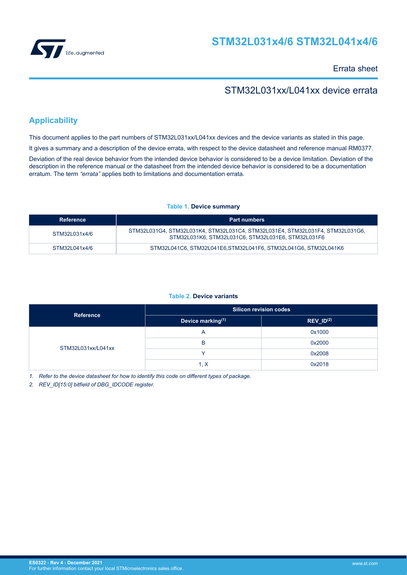

## **STM32L031x4/6 STM32L041x4/6**

Errata sheet

## STM32L031xx/L041xx device errata

## **Applicability**

This document applies to the part numbers of STM32L031xx/L041xx devices and the device variants as stated in this page.

It gives a summary and a description of the device errata, with respect to the device datasheet and reference manual RM0377.

Deviation of the real device behavior from the intended device behavior is considered to be a device limitation. Deviation of the description in the reference manual or the datasheet from the intended device behavior is considered to be a documentation erratum. The term *"errata"* applies both to limitations and documentation errata.

## **Table 1. Device summary**

| Reference     | <b>Part numbers</b>                                                                                                                 |
|---------------|-------------------------------------------------------------------------------------------------------------------------------------|
| STM32L031x4/6 | STM32L031G4, STM32L031K4, STM32L031C4, STM32L031E4, STM32L031F4, STM32L031G6,<br>STM32L031K6, STM32L031C6, STM32L031E6, STM32L031F6 |
| STM32L041x4/6 | STM32L041C6, STM32L041E6.STM32L041F6, STM32L041G6, STM32L041K6                                                                      |

## **Table 2. Device variants**

| <b>Reference</b>   | <b>Silicon revision codes</b> |                |  |
|--------------------|-------------------------------|----------------|--|
|                    | Device marking(1)             | $REV_lD^{(2)}$ |  |
|                    | $\overline{\mathsf{A}}$       | 0x1000         |  |
| STM32L031xx/L041xx | B                             | 0x2000         |  |
|                    |                               | 0x2008         |  |
|                    | 1, X                          | 0x2018         |  |

*1. Refer to the device datasheet for how to identify this code on different types of package.*

*2. REV\_ID[15:0] bitfield of DBG\_IDCODE register.*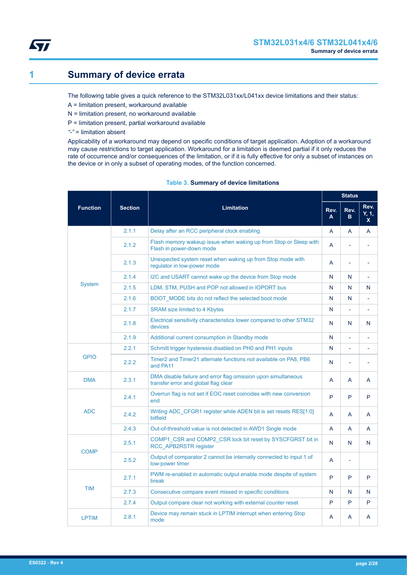<span id="page-1-0"></span>

## **1 Summary of device errata**

The following table gives a quick reference to the STM32L031xx/L041xx device limitations and their status:

- A = limitation present, workaround available
- N = limitation present, no workaround available
- P = limitation present, partial workaround available
- *"-"* = limitation absent

Applicability of a workaround may depend on specific conditions of target application. Adoption of a workaround may cause restrictions to target application. Workaround for a limitation is deemed partial if it only reduces the rate of occurrence and/or consequences of the limitation, or if it is fully effective for only a subset of instances on the device or in only a subset of operating modes, of the function concerned.

|                 |                |                                                                                                       |                | <b>Status</b> |                                 |
|-----------------|----------------|-------------------------------------------------------------------------------------------------------|----------------|---------------|---------------------------------|
| <b>Function</b> | <b>Section</b> | <b>Limitation</b>                                                                                     | Rev.<br>A      | Rev.<br>в     | Rev.<br>Y, 1,<br>$\mathsf{x}^-$ |
|                 | 2.1.1          | Delay after an RCC peripheral clock enabling                                                          | A              | A             | A                               |
|                 | 2.1.2          | Flash memory wakeup issue when waking up from Stop or Sleep with<br>Flash in power-down mode          | $\overline{A}$ |               | L                               |
|                 | 2.1.3          | Unexpected system reset when waking up from Stop mode with<br>regulator in low-power mode             | A              | ٠             | L.                              |
|                 | 2.1.4          | I2C and USART cannot wake up the device from Stop mode                                                | N              | N             | L                               |
| <b>System</b>   | 2.1.5          | LDM, STM, PUSH and POP not allowed in IOPORT bus                                                      | N              | N             | N                               |
|                 | 2.1.6          | BOOT MODE bits do not reflect the selected boot mode                                                  | N              | N             | $\overline{a}$                  |
|                 | 2.1.7          | <b>SRAM size limited to 4 Kbytes</b>                                                                  | N              |               | L,                              |
|                 | 2.1.8          | Electrical sensitivity characteristics lower compared to other STM32<br>devices                       | N              | N             | N                               |
|                 | 2.1.9          | Additional current consumption in Standby mode                                                        | N              |               | $\overline{a}$                  |
|                 | 2.2.1          | Schmitt trigger hysteresis disabled on PH0 and PH1 inputs                                             | N              |               |                                 |
| <b>GPIO</b>     | 2.2.2          | Timer2 and Timer21 alternate functions not available on PA8, PB6<br>and PA11                          | N              |               | ÷,                              |
| <b>DMA</b>      | 2.3.1          | DMA disable failure and error flag omission upon simultaneous<br>transfer error and global flag clear | A              | A             | A                               |
|                 | 2.4.1          | Overrun flag is not set if EOC reset coincides with new conversion<br>end                             | P              | P             | P                               |
| <b>ADC</b>      | 242            | Writing ADC CFGR1 register while ADEN bit is set resets RES[1:0]<br>bitfield                          | $\mathsf{A}$   | A             | A                               |
|                 | 2.4.3          | Out-of-threshold value is not detected in AWD1 Single mode                                            | A              | A             | A                               |
| <b>COMP</b>     | 2.5.1          | COMP1 CSR and COMP2 CSR lock bit reset by SYSCFGRST bit in<br><b>RCC APB2RSTR register</b>            | N              | N             | N                               |
|                 | 2.5.2          | Output of comparator 2 cannot be internally connected to input 1 of<br>low-power timer                | $\overline{A}$ |               |                                 |
|                 | 2.7.1          | PWM re-enabled in automatic output enable mode despite of system<br>break                             | P              | P             | P                               |
| <b>TIM</b>      | 2.7.3          | Consecutive compare event missed in specific conditions                                               | N              | N             | N                               |
|                 | 2.7.4          | Output compare clear not working with external counter reset                                          | P              | P             | P                               |
| <b>LPTIM</b>    | 2.8.1          | Device may remain stuck in LPTIM interrupt when entering Stop<br>mode                                 | A              | A             | Α                               |

## **Table 3. Summary of device limitations**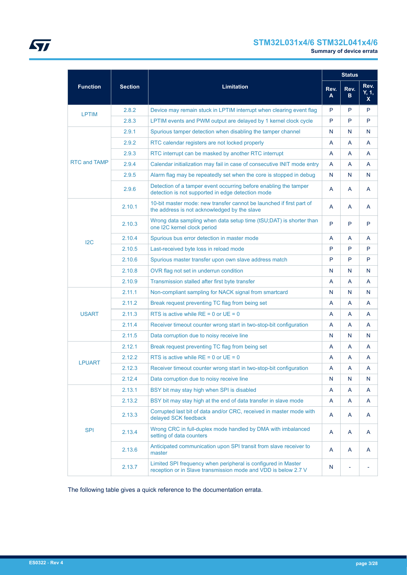## **STM32L031x4/6 STM32L041x4/6**

|                     |                |                                                                                                                                 |           |           |                              |  | <b>Status</b> |
|---------------------|----------------|---------------------------------------------------------------------------------------------------------------------------------|-----------|-----------|------------------------------|--|---------------|
| <b>Function</b>     | <b>Section</b> | <b>Limitation</b>                                                                                                               | Rev.<br>A | Rev.<br>в | Rev.<br>Y, 1,<br>$\mathbf x$ |  |               |
| <b>LPTIM</b>        | 2.8.2          | Device may remain stuck in LPTIM interrupt when clearing event flag                                                             | P         | P         | P                            |  |               |
|                     | 2.8.3          | LPTIM events and PWM output are delayed by 1 kernel clock cycle                                                                 | P         | P         | P                            |  |               |
|                     | 2.9.1          | Spurious tamper detection when disabling the tamper channel                                                                     | N         | N         | N                            |  |               |
|                     | 2.9.2          | RTC calendar registers are not locked properly                                                                                  | A         | A         | A                            |  |               |
|                     | 2.9.3          | RTC interrupt can be masked by another RTC interrupt                                                                            | A         | A         | A                            |  |               |
| <b>RTC and TAMP</b> | 2.9.4          | Calendar initialization may fail in case of consecutive INIT mode entry                                                         | A         | A         | A                            |  |               |
|                     | 2.9.5          | Alarm flag may be repeatedly set when the core is stopped in debug                                                              | N         | N         | N                            |  |               |
|                     | 2.9.6          | Detection of a tamper event occurring before enabling the tamper<br>detection is not supported in edge detection mode           | A         | A         | A                            |  |               |
|                     | 2.10.1         | 10-bit master mode: new transfer cannot be launched if first part of<br>the address is not acknowledged by the slave            | A         | A         | A                            |  |               |
|                     | 2.10.3         | Wrong data sampling when data setup time (tSU;DAT) is shorter than<br>one I2C kernel clock period                               | P         | P         | P                            |  |               |
| 12C                 | 2.10.4         | Spurious bus error detection in master mode                                                                                     | A         | A         | A                            |  |               |
|                     | 2.10.5         | Last-received byte loss in reload mode                                                                                          | P         | P         | P                            |  |               |
|                     | 2.10.6         | Spurious master transfer upon own slave address match                                                                           | P         | P         | P                            |  |               |
|                     | 2.10.8         | OVR flag not set in underrun condition                                                                                          | N         | N         | N                            |  |               |
|                     | 2.10.9         | Transmission stalled after first byte transfer                                                                                  | A         | A         | A                            |  |               |
|                     | 2.11.1         | Non-compliant sampling for NACK signal from smartcard                                                                           | N         | N         | N                            |  |               |
|                     | 2.11.2         | Break request preventing TC flag from being set                                                                                 | A         | A         | A                            |  |               |
| <b>USART</b>        | 2.11.3         | RTS is active while $RE = 0$ or $UE = 0$                                                                                        | A         | A         | A                            |  |               |
|                     | 2.11.4         | Receiver timeout counter wrong start in two-stop-bit configuration                                                              | A         | A         | A                            |  |               |
|                     | 2.11.5         | Data corruption due to noisy receive line                                                                                       | N         | N         | N                            |  |               |
|                     | 2.12.1         | Break request preventing TC flag from being set                                                                                 | A         | A         | A                            |  |               |
| <b>LPUART</b>       | 2.12.2         | RTS is active while $RE = 0$ or $UE = 0$                                                                                        | A         | A         | A                            |  |               |
|                     | 2.12.3         | Receiver timeout counter wrong start in two-stop-bit configuration                                                              | A         | A         | A                            |  |               |
|                     | 2.12.4         | Data corruption due to noisy receive line                                                                                       | N         | N         | N                            |  |               |
|                     | 2.13.1         | BSY bit may stay high when SPI is disabled                                                                                      | A         | Α         | A                            |  |               |
|                     | 2.13.2         | BSY bit may stay high at the end of data transfer in slave mode                                                                 | A         | A         | A                            |  |               |
|                     | 2.13.3         | Corrupted last bit of data and/or CRC, received in master mode with<br>delayed SCK feedback                                     | A         | A         | A                            |  |               |
| <b>SPI</b>          | 2.13.4         | Wrong CRC in full-duplex mode handled by DMA with imbalanced<br>setting of data counters                                        | A         | A         | A                            |  |               |
|                     | 2.13.6         | Anticipated communication upon SPI transit from slave receiver to<br>master                                                     | A         | A         | A                            |  |               |
|                     | 2.13.7         | Limited SPI frequency when peripheral is configured in Master<br>reception or in Slave transmission mode and VDD is below 2.7 V | N         |           |                              |  |               |

The following table gives a quick reference to the documentation errata.

ST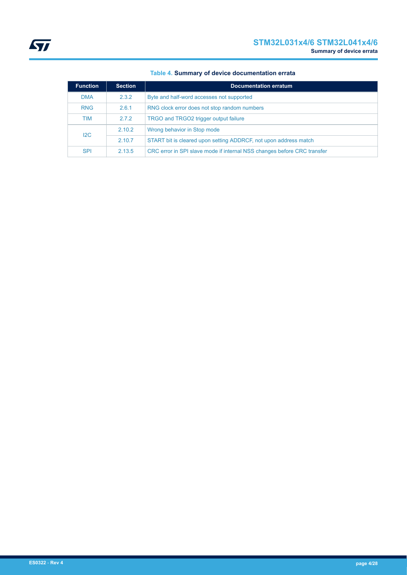| <b>Function</b> | <b>Section</b> | <b>Documentation erratum</b>                                            |
|-----------------|----------------|-------------------------------------------------------------------------|
| <b>DMA</b>      | 2.3.2          | Byte and half-word accesses not supported                               |
| <b>RNG</b>      | 2.6.1          | RNG clock error does not stop random numbers                            |
| TIM             | 2.7.2          | TRGO and TRGO2 trigger output failure                                   |
| 12C             | 2.10.2         | Wrong behavior in Stop mode                                             |
|                 | 2.10.7         | START bit is cleared upon setting ADDRCF, not upon address match        |
| <b>SPI</b>      | 2.13.5         | CRC error in SPI slave mode if internal NSS changes before CRC transfer |

## **Table 4. Summary of device documentation errata**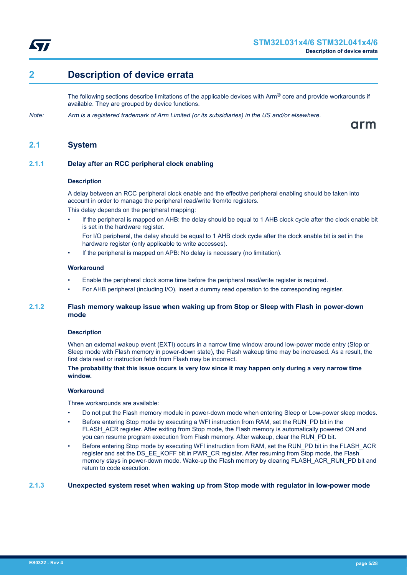<span id="page-4-0"></span>

## **2 Description of device errata**

The following sections describe limitations of the applicable devices with  $Arm^{\circledR}$  core and provide workarounds if available. They are grouped by device functions.

*Note: Arm is a registered trademark of Arm Limited (or its subsidiaries) in the US and/or elsewhere.*

arm

## **2.1 System**

## **2.1.1 Delay after an RCC peripheral clock enabling**

#### **Description**

A delay between an RCC peripheral clock enable and the effective peripheral enabling should be taken into account in order to manage the peripheral read/write from/to registers.

This delay depends on the peripheral mapping:

- If the peripheral is mapped on AHB: the delay should be equal to 1 AHB clock cycle after the clock enable bit is set in the hardware register.
	- For I/O peripheral, the delay should be equal to 1 AHB clock cycle after the clock enable bit is set in the hardware register (only applicable to write accesses).
- If the peripheral is mapped on APB: No delay is necessary (no limitation).

## **Workaround**

- Enable the peripheral clock some time before the peripheral read/write register is required.
- For AHB peripheral (including I/O), insert a dummy read operation to the corresponding register.

## **2.1.2 Flash memory wakeup issue when waking up from Stop or Sleep with Flash in power-down mode**

## **Description**

When an external wakeup event (EXTI) occurs in a narrow time window around low-power mode entry (Stop or Sleep mode with Flash memory in power-down state), the Flash wakeup time may be increased. As a result, the first data read or instruction fetch from Flash may be incorrect.

## **The probability that this issue occurs is very low since it may happen only during a very narrow time window.**

#### **Workaround**

Three workarounds are available:

- Do not put the Flash memory module in power-down mode when entering Sleep or Low-power sleep modes.
- Before entering Stop mode by executing a WFI instruction from RAM, set the RUN PD bit in the FLASH\_ACR register. After exiting from Stop mode, the Flash memory is automatically powered ON and you can resume program execution from Flash memory. After wakeup, clear the RUN\_PD bit.
- Before entering Stop mode by executing WFI instruction from RAM, set the RUN\_PD bit in the FLASH\_ACR register and set the DS\_EE\_KOFF bit in PWR\_CR register. After resuming from Stop mode, the Flash memory stays in power-down mode. Wake-up the Flash memory by clearing FLASH\_ACR\_RUN\_PD bit and return to code execution.

## **2.1.3 Unexpected system reset when waking up from Stop mode with regulator in low-power mode**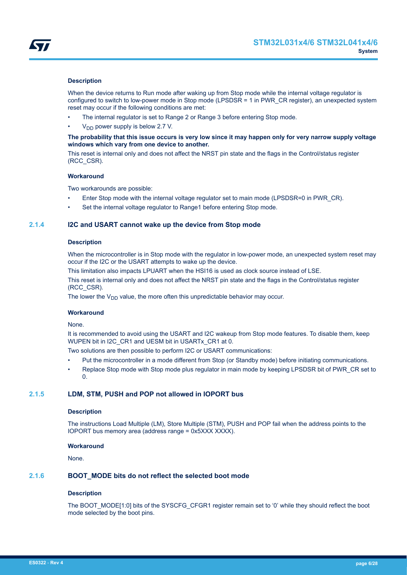<span id="page-5-0"></span>

### **Description**

When the device returns to Run mode after waking up from Stop mode while the internal voltage regulator is configured to switch to low-power mode in Stop mode (LPSDSR = 1 in PWR\_CR register), an unexpected system reset may occur if the following conditions are met:

- The internal regulator is set to Range 2 or Range 3 before entering Stop mode.
- $V<sub>DD</sub>$  power supply is below 2.7 V.

#### **The probability that this issue occurs is very low since it may happen only for very narrow supply voltage windows which vary from one device to another.**

This reset is internal only and does not affect the NRST pin state and the flags in the Control/status register (RCC\_CSR).

#### **Workaround**

Two workarounds are possible:

- Enter Stop mode with the internal voltage regulator set to main mode (LPSDSR=0 in PWR\_CR).
- Set the internal voltage regulator to Range1 before entering Stop mode.

## **2.1.4 I2C and USART cannot wake up the device from Stop mode**

#### **Description**

When the microcontroller is in Stop mode with the regulator in low-power mode, an unexpected system reset may occur if the I2C or the USART attempts to wake up the device.

This limitation also impacts LPUART when the HSI16 is used as clock source instead of LSE.

This reset is internal only and does not affect the NRST pin state and the flags in the Control/status register (RCC\_CSR).

The lower the  $V_{DD}$  value, the more often this unpredictable behavior may occur.

#### **Workaround**

#### None.

It is recommended to avoid using the USART and I2C wakeup from Stop mode features. To disable them, keep WUPEN bit in I2C\_CR1 and UESM bit in USARTx\_CR1 at 0.

Two solutions are then possible to perform I2C or USART communications:

- Put the microcontroller in a mode different from Stop (or Standby mode) before initiating communications.
- Replace Stop mode with Stop mode plus regulator in main mode by keeping LPSDSR bit of PWR\_CR set to  $\Omega$

## **2.1.5 LDM, STM, PUSH and POP not allowed in IOPORT bus**

#### **Description**

The instructions Load Multiple (LM), Store Multiple (STM), PUSH and POP fail when the address points to the IOPORT bus memory area (address range = 0x5XXX XXXX).

#### **Workaround**

None.

## **2.1.6 BOOT\_MODE bits do not reflect the selected boot mode**

#### **Description**

The BOOT\_MODE[1:0] bits of the SYSCFG\_CFGR1 register remain set to '0' while they should reflect the boot mode selected by the boot pins.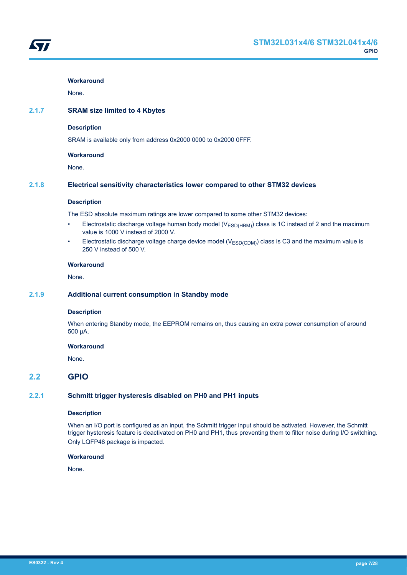<span id="page-6-0"></span>

None.

## **2.1.7 SRAM size limited to 4 Kbytes**

## **Description**

SRAM is available only from address 0x2000 0000 to 0x2000 0FFF.

## **Workaround**

None.

## **2.1.8 Electrical sensitivity characteristics lower compared to other STM32 devices**

## **Description**

The ESD absolute maximum ratings are lower compared to some other STM32 devices:

- Electrostatic discharge voltage human body model ( $V_{ESD(HBM)}$ ) class is 1C instead of 2 and the maximum value is 1000 V instead of 2000 V.
- Electrostatic discharge voltage charge device model ( $V_{ESD(CDM)}$ ) class is C3 and the maximum value is 250 V instead of 500 V.

#### **Workaround**

None.

## **2.1.9 Additional current consumption in Standby mode**

## **Description**

When entering Standby mode, the EEPROM remains on, thus causing an extra power consumption of around 500 µA.

## **Workaround**

None.

## **2.2 GPIO**

## **2.2.1 Schmitt trigger hysteresis disabled on PH0 and PH1 inputs**

#### **Description**

When an I/O port is configured as an input, the Schmitt trigger input should be activated. However, the Schmitt trigger hysteresis feature is deactivated on PH0 and PH1, thus preventing them to filter noise during I/O switching. Only LQFP48 package is impacted.

#### **Workaround**

None.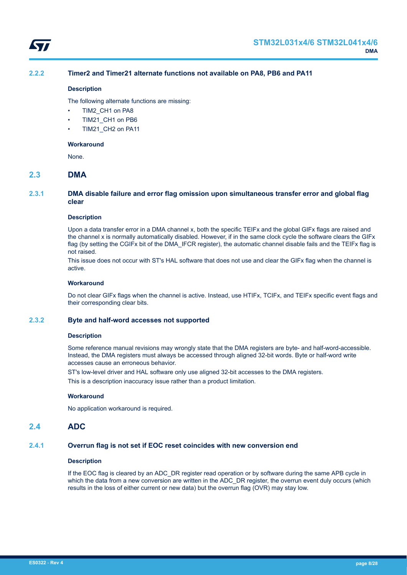<span id="page-7-0"></span>

## **2.2.2 Timer2 and Timer21 alternate functions not available on PA8, PB6 and PA11**

#### **Description**

The following alternate functions are missing:

- TIM2 CH1 on PA8
- TIM21 CH1 on PB6
- TIM21\_CH2 on PA11

#### **Workaround**

None.

## **2.3 DMA**

## **2.3.1 DMA disable failure and error flag omission upon simultaneous transfer error and global flag clear**

#### **Description**

Upon a data transfer error in a DMA channel x, both the specific TEIFx and the global GIFx flags are raised and the channel x is normally automatically disabled. However, if in the same clock cycle the software clears the GIFx flag (by setting the CGIFx bit of the DMA\_IFCR register), the automatic channel disable fails and the TEIFx flag is not raised.

This issue does not occur with ST's HAL software that does not use and clear the GIFx flag when the channel is active.

## **Workaround**

Do not clear GIFx flags when the channel is active. Instead, use HTIFx, TCIFx, and TEIFx specific event flags and their corresponding clear bits.

## **2.3.2 Byte and half-word accesses not supported**

#### **Description**

Some reference manual revisions may wrongly state that the DMA registers are byte- and half-word-accessible. Instead, the DMA registers must always be accessed through aligned 32-bit words. Byte or half-word write accesses cause an erroneous behavior.

ST's low-level driver and HAL software only use aligned 32-bit accesses to the DMA registers.

This is a description inaccuracy issue rather than a product limitation.

#### **Workaround**

No application workaround is required.

## **2.4 ADC**

## **2.4.1 Overrun flag is not set if EOC reset coincides with new conversion end**

#### **Description**

If the EOC flag is cleared by an ADC\_DR register read operation or by software during the same APB cycle in which the data from a new conversion are written in the ADC\_DR register, the overrun event duly occurs (which results in the loss of either current or new data) but the overrun flag (OVR) may stay low.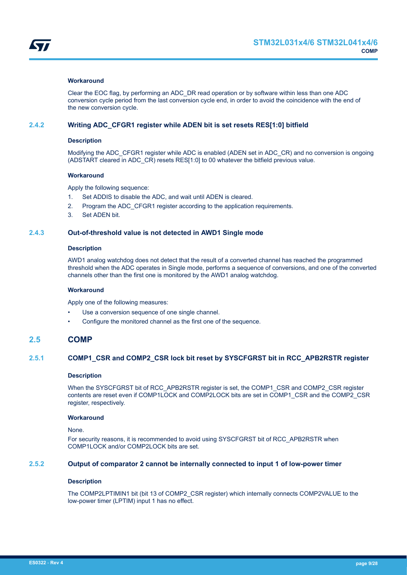<span id="page-8-0"></span>

Clear the EOC flag, by performing an ADC\_DR read operation or by software within less than one ADC conversion cycle period from the last conversion cycle end, in order to avoid the coincidence with the end of the new conversion cycle.

#### **2.4.2 Writing ADC\_CFGR1 register while ADEN bit is set resets RES[1:0] bitfield**

#### **Description**

Modifying the ADC\_CFGR1 register while ADC is enabled (ADEN set in ADC\_CR) and no conversion is ongoing (ADSTART cleared in ADC\_CR) resets RES[1:0] to 00 whatever the bitfield previous value.

#### **Workaround**

Apply the following sequence:

- 1. Set ADDIS to disable the ADC, and wait until ADEN is cleared.
- 2. Program the ADC CFGR1 register according to the application requirements.
- 3. Set ADEN bit.

## **2.4.3 Out-of-threshold value is not detected in AWD1 Single mode**

#### **Description**

AWD1 analog watchdog does not detect that the result of a converted channel has reached the programmed threshold when the ADC operates in Single mode, performs a sequence of conversions, and one of the converted channels other than the first one is monitored by the AWD1 analog watchdog.

#### **Workaround**

Apply one of the following measures:

- Use a conversion sequence of one single channel.
- Configure the monitored channel as the first one of the sequence.

## **2.5 COMP**

## **2.5.1 COMP1\_CSR and COMP2\_CSR lock bit reset by SYSCFGRST bit in RCC\_APB2RSTR register**

#### **Description**

When the SYSCFGRST bit of RCC\_APB2RSTR register is set, the COMP1\_CSR and COMP2\_CSR register contents are reset even if COMP1LOCK and COMP2LOCK bits are set in COMP1\_CSR and the COMP2\_CSR register, respectively.

#### **Workaround**

#### None.

For security reasons, it is recommended to avoid using SYSCFGRST bit of RCC\_APB2RSTR when COMP1LOCK and/or COMP2LOCK bits are set.

#### **2.5.2 Output of comparator 2 cannot be internally connected to input 1 of low-power timer**

## **Description**

The COMP2LPTIMIN1 bit (bit 13 of COMP2\_CSR register) which internally connects COMP2VALUE to the low-power timer (LPTIM) input 1 has no effect.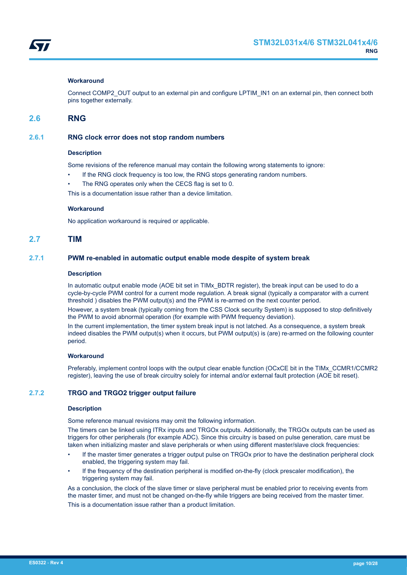<span id="page-9-0"></span>

Connect COMP2\_OUT output to an external pin and configure LPTIM\_IN1 on an external pin, then connect both pins together externally.

## **2.6 RNG**

## **2.6.1 RNG clock error does not stop random numbers**

#### **Description**

Some revisions of the reference manual may contain the following wrong statements to ignore:

- If the RNG clock frequency is too low, the RNG stops generating random numbers.
- The RNG operates only when the CECS flag is set to 0.

This is a documentation issue rather than a device limitation.

#### **Workaround**

No application workaround is required or applicable.

## **2.7 TIM**

## **2.7.1 PWM re-enabled in automatic output enable mode despite of system break**

#### **Description**

In automatic output enable mode (AOE bit set in TIMx BDTR register), the break input can be used to do a cycle-by-cycle PWM control for a current mode regulation. A break signal (typically a comparator with a current threshold ) disables the PWM output(s) and the PWM is re-armed on the next counter period.

However, a system break (typically coming from the CSS Clock security System) is supposed to stop definitively the PWM to avoid abnormal operation (for example with PWM frequency deviation).

In the current implementation, the timer system break input is not latched. As a consequence, a system break indeed disables the PWM output(s) when it occurs, but PWM output(s) is (are) re-armed on the following counter period.

#### **Workaround**

Preferably, implement control loops with the output clear enable function (OCxCE bit in the TIMx\_CCMR1/CCMR2 register), leaving the use of break circuitry solely for internal and/or external fault protection (AOE bit reset).

## **2.7.2 TRGO and TRGO2 trigger output failure**

#### **Description**

Some reference manual revisions may omit the following information.

The timers can be linked using ITRx inputs and TRGOx outputs. Additionally, the TRGOx outputs can be used as triggers for other peripherals (for example ADC). Since this circuitry is based on pulse generation, care must be taken when initializing master and slave peripherals or when using different master/slave clock frequencies:

- If the master timer generates a trigger output pulse on TRGOx prior to have the destination peripheral clock enabled, the triggering system may fail.
- If the frequency of the destination peripheral is modified on-the-fly (clock prescaler modification), the triggering system may fail.

As a conclusion, the clock of the slave timer or slave peripheral must be enabled prior to receiving events from the master timer, and must not be changed on-the-fly while triggers are being received from the master timer. This is a documentation issue rather than a product limitation.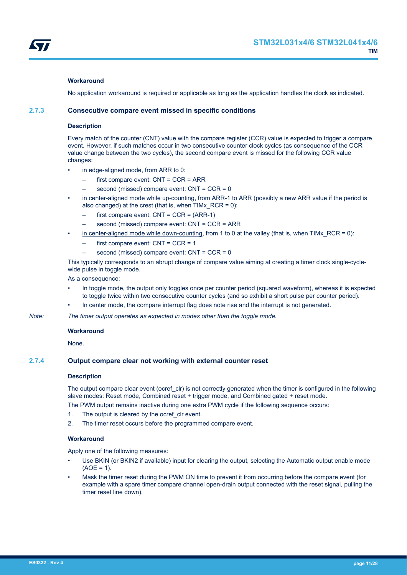<span id="page-10-0"></span>

No application workaround is required or applicable as long as the application handles the clock as indicated.

## **2.7.3 Consecutive compare event missed in specific conditions**

#### **Description**

Every match of the counter (CNT) value with the compare register (CCR) value is expected to trigger a compare event. However, if such matches occur in two consecutive counter clock cycles (as consequence of the CCR value change between the two cycles), the second compare event is missed for the following CCR value changes:

- in edge-aligned mode, from ARR to 0:
	- first compare event: CNT = CCR = ARR
	- second (missed) compare event: CNT = CCR = 0
- in center-aligned mode while up-counting, from ARR-1 to ARR (possibly a new ARR value if the period is also changed) at the crest (that is, when  $\overline{T}$ IMx  $\overline{R}$  RCR = 0):
	- first compare event:  $CNT = CCR = (ARR-1)$
	- second (missed) compare event: CNT = CCR = ARR
- in center-aligned mode while down-counting, from 1 to 0 at the valley (that is, when TIMx  $RCR = 0$ ):
	- first compare event: CNT = CCR = 1
	- second (missed) compare event: CNT = CCR = 0

This typically corresponds to an abrupt change of compare value aiming at creating a timer clock single-cyclewide pulse in toggle mode.

As a consequence:

- In toggle mode, the output only toggles once per counter period (squared waveform), whereas it is expected to toggle twice within two consecutive counter cycles (and so exhibit a short pulse per counter period).
- In center mode, the compare interrupt flag does note rise and the interrupt is not generated.
- *Note: The timer output operates as expected in modes other than the toggle mode.*

#### **Workaround**

None.

#### **2.7.4 Output compare clear not working with external counter reset**

#### **Description**

The output compare clear event (ocref\_clr) is not correctly generated when the timer is configured in the following slave modes: Reset mode, Combined reset + trigger mode, and Combined gated + reset mode.

The PWM output remains inactive during one extra PWM cycle if the following sequence occurs:

- 1. The output is cleared by the ocref\_clr event.
- 2. The timer reset occurs before the programmed compare event.

#### **Workaround**

Apply one of the following measures:

- Use BKIN (or BKIN2 if available) input for clearing the output, selecting the Automatic output enable mode  $(AOF = 1)$ .
- Mask the timer reset during the PWM ON time to prevent it from occurring before the compare event (for example with a spare timer compare channel open-drain output connected with the reset signal, pulling the timer reset line down).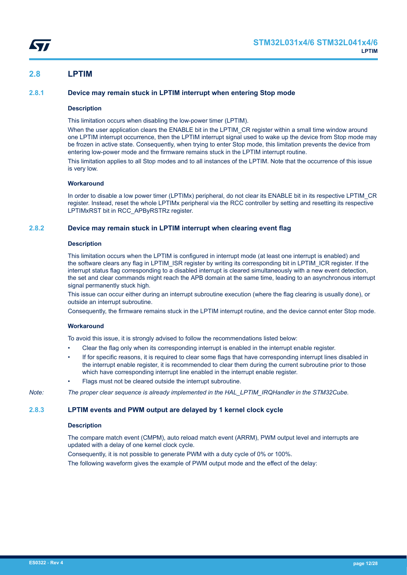## <span id="page-11-0"></span>**2.8 LPTIM**

## **2.8.1 Device may remain stuck in LPTIM interrupt when entering Stop mode**

## **Description**

This limitation occurs when disabling the low-power timer (LPTIM).

When the user application clears the ENABLE bit in the LPTIM\_CR register within a small time window around one LPTIM interrupt occurrence, then the LPTIM interrupt signal used to wake up the device from Stop mode may be frozen in active state. Consequently, when trying to enter Stop mode, this limitation prevents the device from entering low-power mode and the firmware remains stuck in the LPTIM interrupt routine.

This limitation applies to all Stop modes and to all instances of the LPTIM. Note that the occurrence of this issue is very low.

#### **Workaround**

In order to disable a low power timer (LPTIMx) peripheral, do not clear its ENABLE bit in its respective LPTIM\_CR register. Instead, reset the whole LPTIMx peripheral via the RCC controller by setting and resetting its respective LPTIMxRST bit in RCC\_APByRSTRz register.

## **2.8.2 Device may remain stuck in LPTIM interrupt when clearing event flag**

#### **Description**

This limitation occurs when the LPTIM is configured in interrupt mode (at least one interrupt is enabled) and the software clears any flag in LPTIM\_ISR register by writing its corresponding bit in LPTIM\_ICR register. If the interrupt status flag corresponding to a disabled interrupt is cleared simultaneously with a new event detection, the set and clear commands might reach the APB domain at the same time, leading to an asynchronous interrupt signal permanently stuck high.

This issue can occur either during an interrupt subroutine execution (where the flag clearing is usually done), or outside an interrupt subroutine.

Consequently, the firmware remains stuck in the LPTIM interrupt routine, and the device cannot enter Stop mode.

## **Workaround**

To avoid this issue, it is strongly advised to follow the recommendations listed below:

- Clear the flag only when its corresponding interrupt is enabled in the interrupt enable register.
- If for specific reasons, it is required to clear some flags that have corresponding interrupt lines disabled in the interrupt enable register, it is recommended to clear them during the current subroutine prior to those which have corresponding interrupt line enabled in the interrupt enable register.
- Flags must not be cleared outside the interrupt subroutine.

*Note: The proper clear sequence is already implemented in the HAL\_LPTIM\_IRQHandler in the STM32Cube.*

## **2.8.3 LPTIM events and PWM output are delayed by 1 kernel clock cycle**

#### **Description**

The compare match event (CMPM), auto reload match event (ARRM), PWM output level and interrupts are updated with a delay of one kernel clock cycle.

Consequently, it is not possible to generate PWM with a duty cycle of 0% or 100%.

The following waveform gives the example of PWM output mode and the effect of the delay: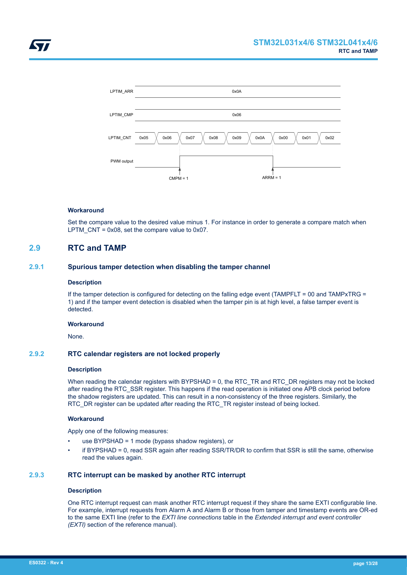<span id="page-12-0"></span>

Set the compare value to the desired value minus 1. For instance in order to generate a compare match when LPTM  $CNT = 0x08$ , set the compare value to 0x07.

## **2.9 RTC and TAMP**

## **2.9.1 Spurious tamper detection when disabling the tamper channel**

## **Description**

If the tamper detection is configured for detecting on the falling edge event (TAMPFLT = 00 and TAMPxTRG = 1) and if the tamper event detection is disabled when the tamper pin is at high level, a false tamper event is detected.

#### **Workaround**

None.

## **2.9.2 RTC calendar registers are not locked properly**

#### **Description**

When reading the calendar registers with BYPSHAD = 0, the RTC\_TR and RTC\_DR registers may not be locked after reading the RTC\_SSR register. This happens if the read operation is initiated one APB clock period before the shadow registers are updated. This can result in a non-consistency of the three registers. Similarly, the RTC\_DR register can be updated after reading the RTC\_TR register instead of being locked.

#### **Workaround**

Apply one of the following measures:

- use BYPSHAD = 1 mode (bypass shadow registers), or
- if BYPSHAD = 0, read SSR again after reading SSR/TR/DR to confirm that SSR is still the same, otherwise read the values again.

#### **2.9.3 RTC interrupt can be masked by another RTC interrupt**

#### **Description**

One RTC interrupt request can mask another RTC interrupt request if they share the same EXTI configurable line. For example, interrupt requests from Alarm A and Alarm B or those from tamper and timestamp events are OR-ed to the same EXTI line (refer to the *EXTI line connections* table in the *Extended interrupt and event controller (EXTI)* section of the reference manual).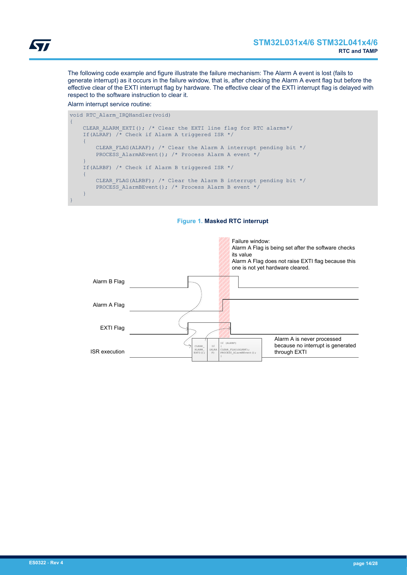The following code example and figure illustrate the failure mechanism: The Alarm A event is lost (fails to generate interrupt) as it occurs in the failure window, that is, after checking the Alarm A event flag but before the effective clear of the EXTI interrupt flag by hardware. The effective clear of the EXTI interrupt flag is delayed with respect to the software instruction to clear it.

#### Alarm interrupt service routine:

```
void RTC_Alarm_IRQHandler(void)
{
    CLEAR ALARM EXTI(); /* Clear the EXTI line flag for RTC alarms*/
    If(ALRAF) \overline{A} Check if Alarm A triggered ISR */
      {
         CLEAR_FLAG(ALRAF); /* Clear the Alarm A interrupt pending bit */
         PROCESS AlarmAEvent(); /* Process Alarm A event */
\left\{\begin{array}{cc} 1 & 1 \\ 1 & 1 \end{array}\right\} If(ALRBF) /* Check if Alarm B triggered ISR */
     {
         CLEAR FLAG(ALRBF); /* Clear the Alarm B interrupt pending bit */
         PROCESS AlarmBEvent(); /* Process Alarm B event */
     }
}
```


## **Figure 1. Masked RTC interrupt**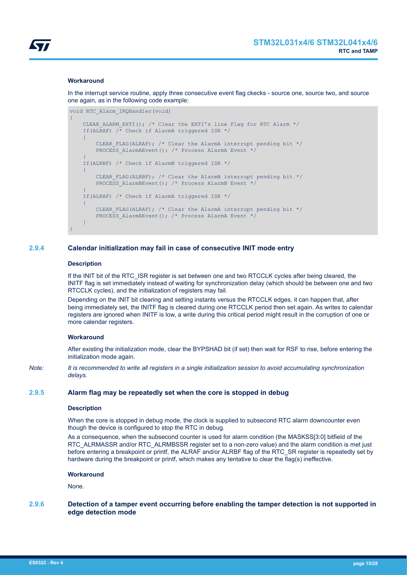<span id="page-14-0"></span>

In the interrupt service routine, apply three consecutive event flag ckecks - source one, source two, and source one again, as in the following code example:

```
void RTC_Alarm_IRQHandler(void)
{
    CLEAR ALARM EXTI(); /* Clear the EXTI's line Flag for RTC Alarm */
    If(ALRAF) \overline{A} Check if AlarmA triggered ISR */
\overline{\phantom{a}}CLEAR FLAG(ALRAF); /* Clear the AlarmA interrupt pending bit */
         PROCESS AlarmAEvent(); /* Process AlarmA Event */
\left\{\begin{array}{cc} 1 & 1 \\ 1 & 1 \end{array}\right\} If(ALRBF) /* Check if AlarmB triggered ISR */
     {
         CLEAR FLAG(ALRBF); /* Clear the AlarmB interrupt pending bit */
         PROCESS AlarmBEvent(); /* Process AlarmB Event */
     }
     If(ALRAF) /* Check if AlarmA triggered ISR */
     {
         CLEAR FLAG(ALRAF); /* Clear the AlarmA interrupt pending bit */
         PROCESS AlarmAEvent(); /* Process AlarmA Event */
     }
}
```
## **2.9.4 Calendar initialization may fail in case of consecutive INIT mode entry**

#### **Description**

If the INIT bit of the RTC ISR register is set between one and two RTCCLK cycles after being cleared, the INITF flag is set immediately instead of waiting for synchronization delay (which should be between one and two RTCCLK cycles), and the initialization of registers may fail.

Depending on the INIT bit clearing and setting instants versus the RTCCLK edges, it can happen that, after being immediately set, the INITF flag is cleared during one RTCCLK period then set again. As writes to calendar registers are ignored when INITF is low, a write during this critical period might result in the corruption of one or more calendar registers.

#### **Workaround**

After existing the initialization mode, clear the BYPSHAD bit (if set) then wait for RSF to rise, before entering the initialization mode again.

*Note: It is recommended to write all registers in a single initialization session to avoid accumulating synchronization delays.*

## **2.9.5 Alarm flag may be repeatedly set when the core is stopped in debug**

#### **Description**

When the core is stopped in debug mode, the clock is supplied to subsecond RTC alarm downcounter even though the device is configured to stop the RTC in debug.

As a consequence, when the subsecond counter is used for alarm condition (the MASKSS[3:0] bitfield of the RTC\_ALRMASSR and/or RTC\_ALRMBSSR register set to a non-zero value) and the alarm condition is met just before entering a breakpoint or printf, the ALRAF and/or ALRBF flag of the RTC\_SR register is repeatedly set by hardware during the breakpoint or printf, which makes any tentative to clear the flag(s) ineffective.

## **Workaround**

None.

## **2.9.6 Detection of a tamper event occurring before enabling the tamper detection is not supported in edge detection mode**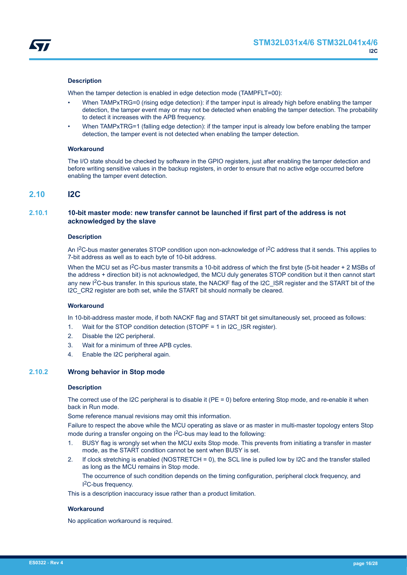<span id="page-15-0"></span>

## **Description**

When the tamper detection is enabled in edge detection mode (TAMPFLT=00):

- When TAMPxTRG=0 (rising edge detection): if the tamper input is already high before enabling the tamper detection, the tamper event may or may not be detected when enabling the tamper detection. The probability to detect it increases with the APB frequency.
- When TAMPxTRG=1 (falling edge detection): if the tamper input is already low before enabling the tamper detection, the tamper event is not detected when enabling the tamper detection.

#### **Workaround**

The I/O state should be checked by software in the GPIO registers, just after enabling the tamper detection and before writing sensitive values in the backup registers, in order to ensure that no active edge occurred before enabling the tamper event detection.

## **2.10 I2C**

## **2.10.1 10-bit master mode: new transfer cannot be launched if first part of the address is not acknowledged by the slave**

#### **Description**

An I<sup>2</sup>C-bus master generates STOP condition upon non-acknowledge of I<sup>2</sup>C address that it sends. This applies to 7-bit address as well as to each byte of 10-bit address.

When the MCU set as  $1^2$ C-bus master transmits a 10-bit address of which the first byte (5-bit header + 2 MSBs of the address + direction bit) is not acknowledged, the MCU duly generates STOP condition but it then cannot start any new I<sup>2</sup>C-bus transfer. In this spurious state, the NACKF flag of the I2C\_ISR register and the START bit of the I2C CR2 register are both set, while the START bit should normally be cleared.

## **Workaround**

In 10-bit-address master mode, if both NACKF flag and START bit get simultaneously set, proceed as follows:

- 1. Wait for the STOP condition detection (STOPF = 1 in I2C\_ISR register).
- 2. Disable the I2C peripheral.
- 3. Wait for a minimum of three APB cycles.
- 4. Enable the I2C peripheral again.

## **2.10.2 Wrong behavior in Stop mode**

#### **Description**

The correct use of the I2C peripheral is to disable it (PE = 0) before entering Stop mode, and re-enable it when back in Run mode.

Some reference manual revisions may omit this information.

Failure to respect the above while the MCU operating as slave or as master in multi-master topology enters Stop mode during a transfer ongoing on the I<sup>2</sup>C-bus may lead to the following:

- 1. BUSY flag is wrongly set when the MCU exits Stop mode. This prevents from initiating a transfer in master mode, as the START condition cannot be sent when BUSY is set.
- 2. If clock stretching is enabled (NOSTRETCH = 0), the SCL line is pulled low by I2C and the transfer stalled as long as the MCU remains in Stop mode.

The occurrence of such condition depends on the timing configuration, peripheral clock frequency, and I <sup>2</sup>C-bus frequency.

This is a description inaccuracy issue rather than a product limitation.

#### **Workaround**

No application workaround is required.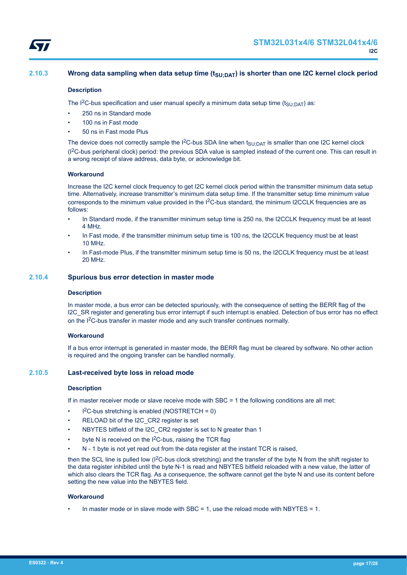<span id="page-16-0"></span>

## **2.10.3 Wrong data sampling when data setup time (tSU;DAT) is shorter than one I2C kernel clock period**

#### **Description**

The I<sup>2</sup>C-bus specification and user manual specify a minimum data setup time (t<sub>SU:DAT</sub>) as:

- 250 ns in Standard mode
- 100 ns in Fast mode
- 50 ns in Fast mode Plus

The device does not correctly sample the I<sup>2</sup>C-bus SDA line when  $t<sub>SU:DAT</sub>$  is smaller than one I2C kernel clock (I2C-bus peripheral clock) period: the previous SDA value is sampled instead of the current one. This can result in a wrong receipt of slave address, data byte, or acknowledge bit.

#### **Workaround**

Increase the I2C kernel clock frequency to get I2C kernel clock period within the transmitter minimum data setup time. Alternatively, increase transmitter's minimum data setup time. If the transmitter setup time minimum value corresponds to the minimum value provided in the I<sup>2</sup>C-bus standard, the minimum I2CCLK frequencies are as follows:

- In Standard mode, if the transmitter minimum setup time is 250 ns, the I2CCLK frequency must be at least 4 MHz.
- In Fast mode, if the transmitter minimum setup time is 100 ns, the I2CCLK frequency must be at least 10 MHz.
- In Fast-mode Plus, if the transmitter minimum setup time is 50 ns, the I2CCLK frequency must be at least 20 MHz.

#### **2.10.4 Spurious bus error detection in master mode**

#### **Description**

In master mode, a bus error can be detected spuriously, with the consequence of setting the BERR flag of the I2C\_SR register and generating bus error interrupt if such interrupt is enabled. Detection of bus error has no effect on the I<sup>2</sup>C-bus transfer in master mode and any such transfer continues normally.

#### **Workaround**

If a bus error interrupt is generated in master mode, the BERR flag must be cleared by software. No other action is required and the ongoing transfer can be handled normally.

## **2.10.5 Last-received byte loss in reload mode**

#### **Description**

If in master receiver mode or slave receive mode with SBC = 1 the following conditions are all met:

- $l^2C$ -bus stretching is enabled (NOSTRETCH = 0)
- RELOAD bit of the I2C\_CR2 register is set
- NBYTES bitfield of the I2C\_CR2 register is set to N greater than 1
- byte N is received on the I<sup>2</sup>C-bus, raising the TCR flag
- N 1 byte is not yet read out from the data register at the instant TCR is raised,

then the SCL line is pulled low (I<sup>2</sup>C-bus clock stretching) and the transfer of the byte N from the shift register to the data register inhibited until the byte N-1 is read and NBYTES bitfield reloaded with a new value, the latter of which also clears the TCR flag. As a consequence, the software cannot get the byte N and use its content before setting the new value into the NBYTES field.

#### **Workaround**

In master mode or in slave mode with SBC = 1, use the reload mode with NBYTES = 1.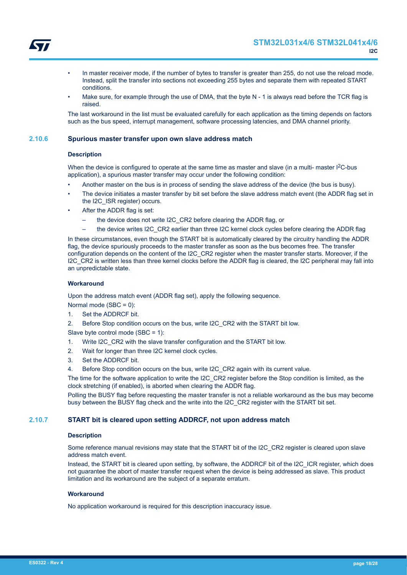<span id="page-17-0"></span>

- In master receiver mode, if the number of bytes to transfer is greater than 255, do not use the reload mode. Instead, split the transfer into sections not exceeding 255 bytes and separate them with repeated START conditions.
- Make sure, for example through the use of DMA, that the byte N 1 is always read before the TCR flag is raised.

The last workaround in the list must be evaluated carefully for each application as the timing depends on factors such as the bus speed, interrupt management, software processing latencies, and DMA channel priority.

## **2.10.6 Spurious master transfer upon own slave address match**

#### **Description**

When the device is configured to operate at the same time as master and slave (in a multi- master  $1<sup>2</sup>C$ -bus application), a spurious master transfer may occur under the following condition:

- Another master on the bus is in process of sending the slave address of the device (the bus is busy).
- The device initiates a master transfer by bit set before the slave address match event (the ADDR flag set in the I2C\_ISR register) occurs.
- After the ADDR flag is set:
	- the device does not write I2C\_CR2 before clearing the ADDR flag, or
	- the device writes I2C\_CR2 earlier than three I2C kernel clock cycles before clearing the ADDR flag

In these circumstances, even though the START bit is automatically cleared by the circuitry handling the ADDR flag, the device spuriously proceeds to the master transfer as soon as the bus becomes free. The transfer configuration depends on the content of the I2C\_CR2 register when the master transfer starts. Moreover, if the I2C\_CR2 is written less than three kernel clocks before the ADDR flag is cleared, the I2C peripheral may fall into an unpredictable state.

#### **Workaround**

Upon the address match event (ADDR flag set), apply the following sequence.

Normal mode (SBC = 0):

1. Set the ADDRCF bit.

2. Before Stop condition occurs on the bus, write I2C\_CR2 with the START bit low.

Slave byte control mode (SBC = 1):

- 1. Write I2C\_CR2 with the slave transfer configuration and the START bit low.
- 2. Wait for longer than three I2C kernel clock cycles.
- 3. Set the ADDRCF bit.
- 4. Before Stop condition occurs on the bus, write I2C\_CR2 again with its current value.

The time for the software application to write the I2C\_CR2 register before the Stop condition is limited, as the clock stretching (if enabled), is aborted when clearing the ADDR flag.

Polling the BUSY flag before requesting the master transfer is not a reliable workaround as the bus may become busy between the BUSY flag check and the write into the I2C\_CR2 register with the START bit set.

#### **2.10.7 START bit is cleared upon setting ADDRCF, not upon address match**

#### **Description**

Some reference manual revisions may state that the START bit of the I2C\_CR2 register is cleared upon slave address match event.

Instead, the START bit is cleared upon setting, by software, the ADDRCF bit of the I2C\_ICR register, which does not guarantee the abort of master transfer request when the device is being addressed as slave. This product limitation and its workaround are the subject of a separate erratum.

#### **Workaround**

No application workaround is required for this description inaccuracy issue.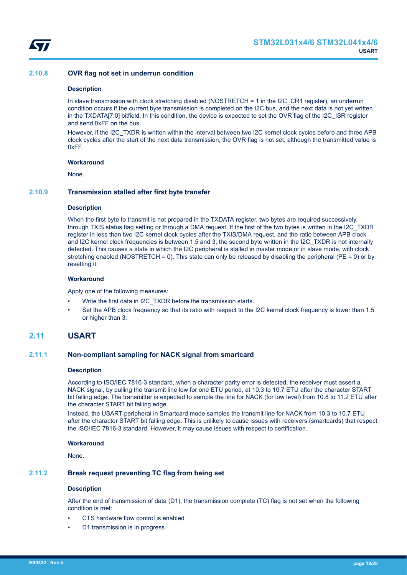<span id="page-18-0"></span>

## **2.10.8 OVR flag not set in underrun condition**

#### **Description**

In slave transmission with clock stretching disabled (NOSTRETCH = 1 in the I2C\_CR1 register), an underrun condition occurs if the current byte transmission is completed on the I2C bus, and the next data is not yet written in the TXDATA[7:0] bitfield. In this condition, the device is expected to set the OVR flag of the I2C\_ISR register and send 0xFF on the bus.

However, if the I2C TXDR is written within the interval between two I2C kernel clock cycles before and three APB clock cycles after the start of the next data transmission, the OVR flag is not set, although the transmitted value is 0xFF.

#### **Workaround**

None.

#### **2.10.9 Transmission stalled after first byte transfer**

#### **Description**

When the first byte to transmit is not prepared in the TXDATA register, two bytes are required successively, through TXIS status flag setting or through a DMA request. If the first of the two bytes is written in the I2C\_TXDR register in less than two I2C kernel clock cycles after the TXIS/DMA request, and the ratio between APB clock and I2C kernel clock frequencies is between 1.5 and 3, the second byte written in the I2C\_TXDR is not internally detected. This causes a state in which the I2C peripheral is stalled in master mode or in slave mode, with clock stretching enabled (NOSTRETCH = 0). This state can only be released by disabling the peripheral ( $PE = 0$ ) or by resetting it.

#### **Workaround**

Apply one of the following measures:

- Write the first data in I2C\_TXDR before the transmission starts.
- Set the APB clock frequency so that its ratio with respect to the I2C kernel clock frequency is lower than 1.5 or higher than 3.

## **2.11 USART**

## **2.11.1 Non-compliant sampling for NACK signal from smartcard**

#### **Description**

According to ISO/IEC 7816-3 standard, when a character parity error is detected, the receiver must assert a NACK signal, by pulling the transmit line low for one ETU period, at 10.3 to 10.7 ETU after the character START bit falling edge. The transmitter is expected to sample the line for NACK (for low level) from 10.8 to 11.2 ETU after the character START bit falling edge.

Instead, the USART peripheral in Smartcard mode samples the transmit line for NACK from 10.3 to 10.7 ETU after the character START bit falling edge. This is unlikely to cause issues with receivers (smartcards) that respect the ISO/IEC 7816-3 standard. However, it may cause issues with respect to certification.

#### **Workaround**

None.

### **2.11.2 Break request preventing TC flag from being set**

#### **Description**

After the end of transmission of data (D1), the transmission complete (TC) flag is not set when the following condition is met:

- CTS hardware flow control is enabled
- D1 transmission is in progress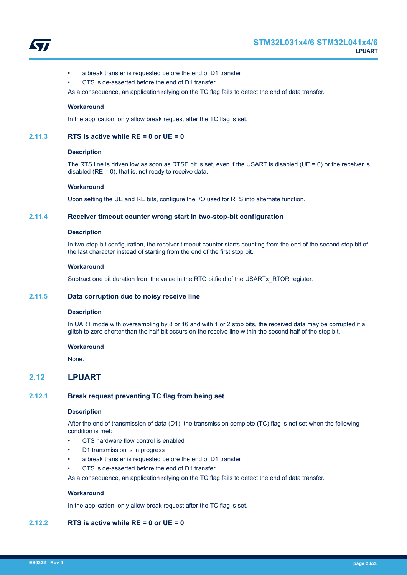<span id="page-19-0"></span>

- a break transfer is requested before the end of D1 transfer
- CTS is de-asserted before the end of D1 transfer

As a consequence, an application relying on the TC flag fails to detect the end of data transfer.

#### **Workaround**

In the application, only allow break request after the TC flag is set.

## **2.11.3 RTS is active while RE = 0 or UE = 0**

#### **Description**

The RTS line is driven low as soon as RTSE bit is set, even if the USART is disabled (UE = 0) or the receiver is disabled ( $RE = 0$ ), that is, not ready to receive data.

#### **Workaround**

Upon setting the UE and RE bits, configure the I/O used for RTS into alternate function.

## **2.11.4 Receiver timeout counter wrong start in two-stop-bit configuration**

#### **Description**

In two-stop-bit configuration, the receiver timeout counter starts counting from the end of the second stop bit of the last character instead of starting from the end of the first stop bit.

#### **Workaround**

Subtract one bit duration from the value in the RTO bitfield of the USARTx\_RTOR register.

## **2.11.5 Data corruption due to noisy receive line**

## **Description**

In UART mode with oversampling by 8 or 16 and with 1 or 2 stop bits, the received data may be corrupted if a glitch to zero shorter than the half-bit occurs on the receive line within the second half of the stop bit.

#### **Workaround**

None.

## **2.12 LPUART**

## **2.12.1 Break request preventing TC flag from being set**

#### **Description**

After the end of transmission of data (D1), the transmission complete (TC) flag is not set when the following condition is met:

- CTS hardware flow control is enabled
- D1 transmission is in progress
- a break transfer is requested before the end of D1 transfer
- CTS is de-asserted before the end of D1 transfer

As a consequence, an application relying on the TC flag fails to detect the end of data transfer.

#### **Workaround**

In the application, only allow break request after the TC flag is set.

## **2.12.2 RTS is active while RE = 0 or UE = 0**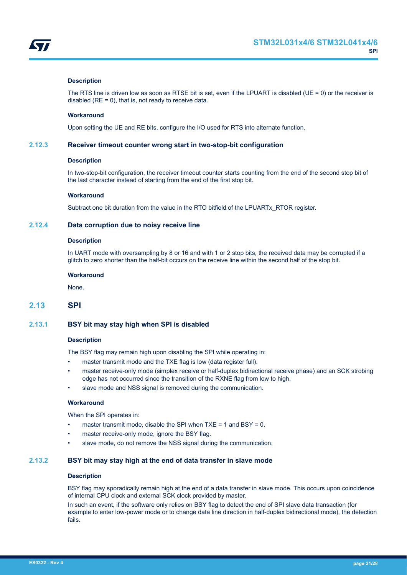<span id="page-20-0"></span>

## **Description**

The RTS line is driven low as soon as RTSE bit is set, even if the LPUART is disabled (UE = 0) or the receiver is disabled ( $RE = 0$ ), that is, not ready to receive data.

#### **Workaround**

Upon setting the UE and RE bits, configure the I/O used for RTS into alternate function.

#### **2.12.3 Receiver timeout counter wrong start in two-stop-bit configuration**

#### **Description**

In two-stop-bit configuration, the receiver timeout counter starts counting from the end of the second stop bit of the last character instead of starting from the end of the first stop bit.

#### **Workaround**

Subtract one bit duration from the value in the RTO bitfield of the LPUARTx\_RTOR register.

## **2.12.4 Data corruption due to noisy receive line**

#### **Description**

In UART mode with oversampling by 8 or 16 and with 1 or 2 stop bits, the received data may be corrupted if a glitch to zero shorter than the half-bit occurs on the receive line within the second half of the stop bit.

#### **Workaround**

None.

## **2.13 SPI**

#### **2.13.1 BSY bit may stay high when SPI is disabled**

#### **Description**

The BSY flag may remain high upon disabling the SPI while operating in:

- master transmit mode and the TXE flag is low (data register full).
- master receive-only mode (simplex receive or half-duplex bidirectional receive phase) and an SCK strobing edge has not occurred since the transition of the RXNE flag from low to high.
- slave mode and NSS signal is removed during the communication.

#### **Workaround**

When the SPI operates in:

- master transmit mode, disable the SPI when  $TXE = 1$  and  $BSY = 0$ .
- master receive-only mode, ignore the BSY flag.
- slave mode, do not remove the NSS signal during the communication.

## **2.13.2 BSY bit may stay high at the end of data transfer in slave mode**

## **Description**

BSY flag may sporadically remain high at the end of a data transfer in slave mode. This occurs upon coincidence of internal CPU clock and external SCK clock provided by master.

In such an event, if the software only relies on BSY flag to detect the end of SPI slave data transaction (for example to enter low-power mode or to change data line direction in half-duplex bidirectional mode), the detection fails.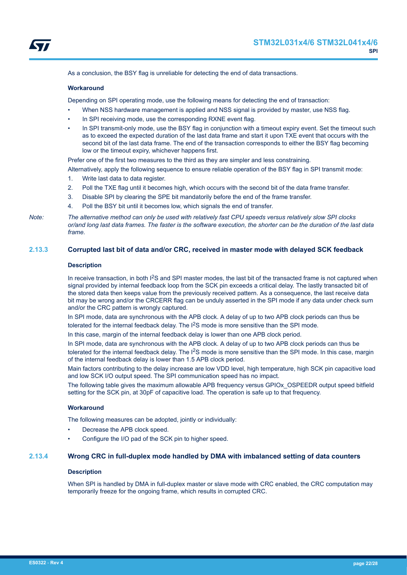<span id="page-21-0"></span>

As a conclusion, the BSY flag is unreliable for detecting the end of data transactions.

#### **Workaround**

Depending on SPI operating mode, use the following means for detecting the end of transaction:

- When NSS hardware management is applied and NSS signal is provided by master, use NSS flag.
- In SPI receiving mode, use the corresponding RXNE event flag.
- In SPI transmit-only mode, use the BSY flag in conjunction with a timeout expiry event. Set the timeout such as to exceed the expected duration of the last data frame and start it upon TXE event that occurs with the second bit of the last data frame. The end of the transaction corresponds to either the BSY flag becoming low or the timeout expiry, whichever happens first.

Prefer one of the first two measures to the third as they are simpler and less constraining.

Alternatively, apply the following sequence to ensure reliable operation of the BSY flag in SPI transmit mode:

- 1. Write last data to data register.
- 2. Poll the TXE flag until it becomes high, which occurs with the second bit of the data frame transfer.
- 3. Disable SPI by clearing the SPE bit mandatorily before the end of the frame transfer.
- 4. Poll the BSY bit until it becomes low, which signals the end of transfer.

*Note: The alternative method can only be used with relatively fast CPU speeds versus relatively slow SPI clocks or/and long last data frames. The faster is the software execution, the shorter can be the duration of the last data frame.*

#### **2.13.3 Corrupted last bit of data and/or CRC, received in master mode with delayed SCK feedback**

## **Description**

In receive transaction, in both  $1<sup>2</sup>S$  and SPI master modes, the last bit of the transacted frame is not captured when signal provided by internal feedback loop from the SCK pin exceeds a critical delay. The lastly transacted bit of the stored data then keeps value from the previously received pattern. As a consequence, the last receive data bit may be wrong and/or the CRCERR flag can be unduly asserted in the SPI mode if any data under check sum and/or the CRC pattern is wrongly captured.

In SPI mode, data are synchronous with the APB clock. A delay of up to two APB clock periods can thus be tolerated for the internal feedback delay. The  $1<sup>2</sup>S$  mode is more sensitive than the SPI mode.

In this case, margin of the internal feedback delay is lower than one APB clock period.

In SPI mode, data are synchronous with the APB clock. A delay of up to two APB clock periods can thus be tolerated for the internal feedback delay. The I<sup>2</sup>S mode is more sensitive than the SPI mode. In this case, margin of the internal feedback delay is lower than 1.5 APB clock period.

Main factors contributing to the delay increase are low VDD level, high temperature, high SCK pin capacitive load and low SCK I/O output speed. The SPI communication speed has no impact.

The following table gives the maximum allowable APB frequency versus GPIOx\_OSPEEDR output speed bitfield setting for the SCK pin, at 30pF of capacitive load. The operation is safe up to that frequency.

#### **Workaround**

The following measures can be adopted, jointly or individually:

- Decrease the APB clock speed.
- Configure the I/O pad of the SCK pin to higher speed.

## **2.13.4 Wrong CRC in full-duplex mode handled by DMA with imbalanced setting of data counters**

#### **Description**

When SPI is handled by DMA in full-duplex master or slave mode with CRC enabled, the CRC computation may temporarily freeze for the ongoing frame, which results in corrupted CRC.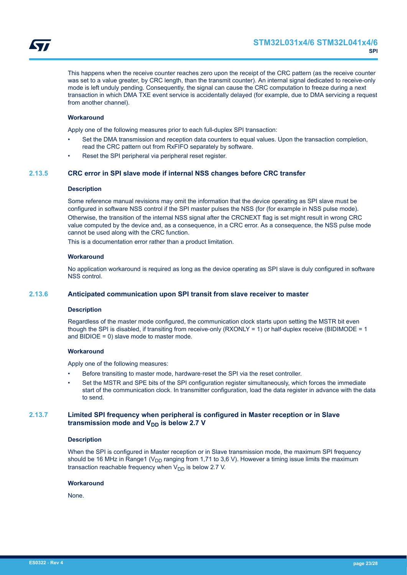<span id="page-22-0"></span>This happens when the receive counter reaches zero upon the receipt of the CRC pattern (as the receive counter was set to a value greater, by CRC length, than the transmit counter). An internal signal dedicated to receive-only mode is left unduly pending. Consequently, the signal can cause the CRC computation to freeze during a next transaction in which DMA TXE event service is accidentally delayed (for example, due to DMA servicing a request from another channel).

## **Workaround**

Apply one of the following measures prior to each full-duplex SPI transaction:

- Set the DMA transmission and reception data counters to equal values. Upon the transaction completion, read the CRC pattern out from RxFIFO separately by software.
- Reset the SPI peripheral via peripheral reset register.

#### **2.13.5 CRC error in SPI slave mode if internal NSS changes before CRC transfer**

#### **Description**

Some reference manual revisions may omit the information that the device operating as SPI slave must be configured in software NSS control if the SPI master pulses the NSS (for (for example in NSS pulse mode). Otherwise, the transition of the internal NSS signal after the CRCNEXT flag is set might result in wrong CRC value computed by the device and, as a consequence, in a CRC error. As a consequence, the NSS pulse mode cannot be used along with the CRC function.

This is a documentation error rather than a product limitation.

#### **Workaround**

No application workaround is required as long as the device operating as SPI slave is duly configured in software NSS control.

## **2.13.6 Anticipated communication upon SPI transit from slave receiver to master**

#### **Description**

Regardless of the master mode configured, the communication clock starts upon setting the MSTR bit even though the SPI is disabled, if transiting from receive-only (RXONLY = 1) or half-duplex receive (BIDIMODE = 1 and BIDIOE = 0) slave mode to master mode.

#### **Workaround**

Apply one of the following measures:

- Before transiting to master mode, hardware-reset the SPI via the reset controller.
- Set the MSTR and SPE bits of the SPI configuration register simultaneously, which forces the immediate start of the communication clock. In transmitter configuration, load the data register in advance with the data to send.

## **2.13.7 Limited SPI frequency when peripheral is configured in Master reception or in Slave transmission mode and V<sub>DD</sub> is below 2.7 V**

#### **Description**

When the SPI is configured in Master reception or in Slave transmission mode, the maximum SPI frequency should be 16 MHz in Range1 ( $V_{DD}$  ranging from 1,71 to 3,6 V). However a timing issue limits the maximum transaction reachable frequency when  $V_{DD}$  is below 2.7 V.

#### **Workaround**

None.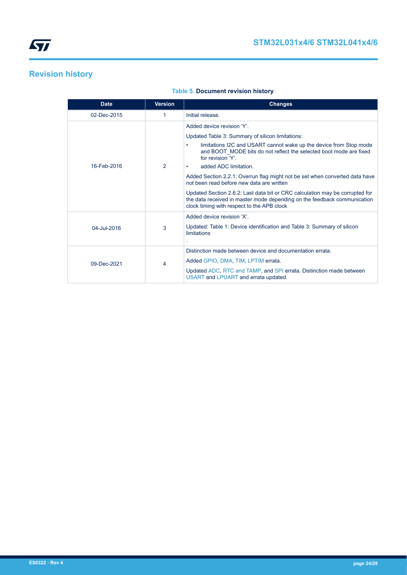## <span id="page-23-0"></span>**Revision history**

| <b>Date</b> | <b>Version</b> | <b>Changes</b>                                                                                                                                                                                         |
|-------------|----------------|--------------------------------------------------------------------------------------------------------------------------------------------------------------------------------------------------------|
| 02-Dec-2015 | 1              | Initial release.                                                                                                                                                                                       |
|             |                | Added device revision 'Y'.                                                                                                                                                                             |
|             |                | Updated Table 3: Summary of silicon limitations:                                                                                                                                                       |
|             |                | limitations I2C and USART cannot wake up the device from Stop mode<br>٠<br>and BOOT MODE bits do not reflect the selected boot mode are fixed<br>for revision 'Y'                                      |
| 16-Feb-2016 | 2              | added ADC limitation.<br>٠                                                                                                                                                                             |
|             |                | Added Section 2.2.1: Overrun flag might not be set when converted data have<br>not been read before new data are written                                                                               |
|             |                | Updated Section 2.6.2: Last data bit or CRC calculation may be corrupted for<br>the data received in master mode depending on the feedback communication<br>clock timing with respect to the APB clock |
|             |                | Added device revision 'X'                                                                                                                                                                              |
| 04-Jul-2016 | 3              | Updated: Table 1: Device identification and Table 3: Summary of silicon<br>limitations                                                                                                                 |
|             | 4              | Distinction made between device and documentation errata.                                                                                                                                              |
| 09-Dec-2021 |                | Added GPIO, DMA, TIM, LPTIM errata.                                                                                                                                                                    |
|             |                | Updated ADC, RTC and TAMP, and SPI errata. Distinction made between<br>USART and LPUART and errata updated.                                                                                            |

## **Table 5. Document revision history**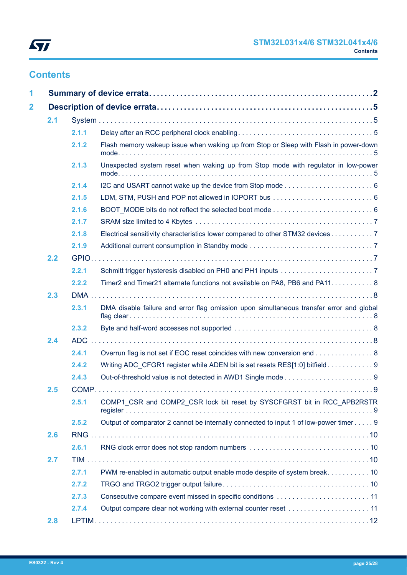

## **Contents**

| 1                       |     |       |                                                                                         |  |
|-------------------------|-----|-------|-----------------------------------------------------------------------------------------|--|
| $\overline{\mathbf{2}}$ |     |       |                                                                                         |  |
|                         | 2.1 |       |                                                                                         |  |
|                         |     | 2.1.1 |                                                                                         |  |
|                         |     | 2.1.2 | Flash memory wakeup issue when waking up from Stop or Sleep with Flash in power-down    |  |
|                         |     | 2.1.3 | Unexpected system reset when waking up from Stop mode with regulator in low-power       |  |
|                         |     | 2.1.4 |                                                                                         |  |
|                         |     | 2.1.5 |                                                                                         |  |
|                         |     | 2.1.6 |                                                                                         |  |
|                         |     | 2.1.7 |                                                                                         |  |
|                         |     | 2.1.8 | Electrical sensitivity characteristics lower compared to other STM32 devices 7          |  |
|                         |     | 2.1.9 |                                                                                         |  |
|                         | 2.2 |       |                                                                                         |  |
|                         |     | 2.2.1 |                                                                                         |  |
|                         |     | 2.2.2 | Timer2 and Timer21 alternate functions not available on PA8, PB6 and PA11. 8            |  |
|                         | 2.3 |       |                                                                                         |  |
|                         |     | 2.3.1 | DMA disable failure and error flag omission upon simultaneous transfer error and global |  |
|                         |     | 2.3.2 |                                                                                         |  |
|                         | 2.4 |       |                                                                                         |  |
|                         |     | 2.4.1 | Overrun flag is not set if EOC reset coincides with new conversion end 8                |  |
|                         |     | 2.4.2 |                                                                                         |  |
|                         |     | 2.4.3 |                                                                                         |  |
|                         | 2.5 |       |                                                                                         |  |
|                         |     | 2.5.1 | COMP1_CSR and COMP2_CSR lock bit reset by SYSCFGRST bit in RCC_APB2RSTR                 |  |
|                         |     | 2.5.2 | Output of comparator 2 cannot be internally connected to input 1 of low-power timer 9   |  |
|                         | 2.6 |       |                                                                                         |  |
|                         |     | 2.6.1 |                                                                                         |  |
|                         | 2.7 |       |                                                                                         |  |
|                         |     | 2.7.1 | PWM re-enabled in automatic output enable mode despite of system break. 10              |  |
|                         |     | 2.7.2 |                                                                                         |  |
|                         |     | 2.7.3 |                                                                                         |  |
|                         |     | 2.7.4 |                                                                                         |  |
|                         | 2.8 |       |                                                                                         |  |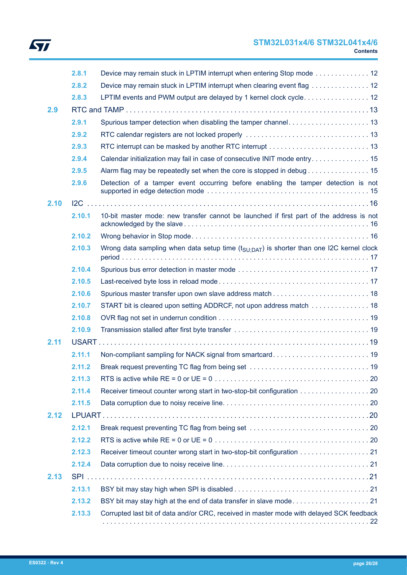# ST

## **STM32L031x4/6 STM32L041x4/6 Contents**

|      | 2.8.1  | Device may remain stuck in LPTIM interrupt when entering Stop mode  12                              |  |
|------|--------|-----------------------------------------------------------------------------------------------------|--|
|      | 2.8.2  | Device may remain stuck in LPTIM interrupt when clearing event flag 12                              |  |
|      | 2.8.3  | LPTIM events and PWM output are delayed by 1 kernel clock cycle 12                                  |  |
| 2.9  |        |                                                                                                     |  |
|      | 2.9.1  | Spurious tamper detection when disabling the tamper channel 13                                      |  |
|      | 2.9.2  |                                                                                                     |  |
|      | 2.9.3  |                                                                                                     |  |
|      | 2.9.4  | Calendar initialization may fail in case of consecutive INIT mode entry 15                          |  |
|      | 2.9.5  | Alarm flag may be repeatedly set when the core is stopped in debug 15                               |  |
|      | 2.9.6  | Detection of a tamper event occurring before enabling the tamper detection is not                   |  |
| 2.10 |        |                                                                                                     |  |
|      | 2.10.1 | 10-bit master mode: new transfer cannot be launched if first part of the address is not             |  |
|      | 2.10.2 |                                                                                                     |  |
|      | 2.10.3 | Wrong data sampling when data setup time $(t_{\text{SU-DAT}})$ is shorter than one I2C kernel clock |  |
|      | 2.10.4 |                                                                                                     |  |
|      | 2.10.5 |                                                                                                     |  |
|      | 2.10.6 |                                                                                                     |  |
|      | 2.10.7 | START bit is cleared upon setting ADDRCF, not upon address match  18                                |  |
|      | 2.10.8 |                                                                                                     |  |
|      | 2.10.9 |                                                                                                     |  |
| 2.11 |        |                                                                                                     |  |
|      | 2.11.1 |                                                                                                     |  |
|      | 2.11.2 |                                                                                                     |  |
|      | 2.11.3 |                                                                                                     |  |
|      | 2.11.4 | Receiver timeout counter wrong start in two-stop-bit configuration 20                               |  |
|      | 2.11.5 |                                                                                                     |  |
| 2.12 |        |                                                                                                     |  |
|      | 2.12.1 |                                                                                                     |  |
|      | 2.12.2 |                                                                                                     |  |
|      | 2.12.3 | Receiver timeout counter wrong start in two-stop-bit configuration 21                               |  |
|      | 2.12.4 |                                                                                                     |  |
| 2.13 |        |                                                                                                     |  |
|      | 2.13.1 |                                                                                                     |  |
|      | 2.13.2 |                                                                                                     |  |
|      | 2.13.3 | Corrupted last bit of data and/or CRC, received in master mode with delayed SCK feedback            |  |
|      |        |                                                                                                     |  |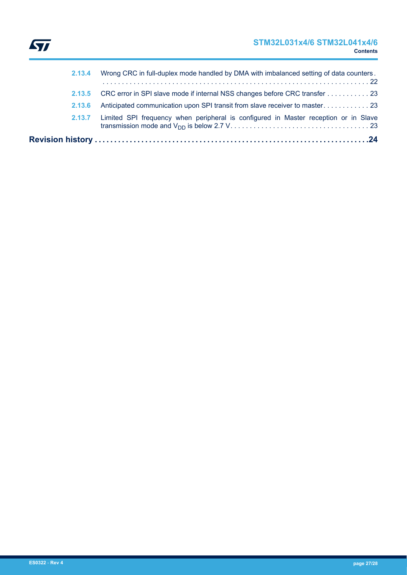

|        | 2.13.4 Wrong CRC in full-duplex mode handled by DMA with imbalanced setting of data counters. |
|--------|-----------------------------------------------------------------------------------------------|
|        | 2.13.5 CRC error in SPI slave mode if internal NSS changes before CRC transfer 23             |
| 2.13.6 | Anticipated communication upon SPI transit from slave receiver to master23                    |
|        | 2.13.7 Limited SPI frequency when peripheral is configured in Master reception or in Slave    |
|        |                                                                                               |